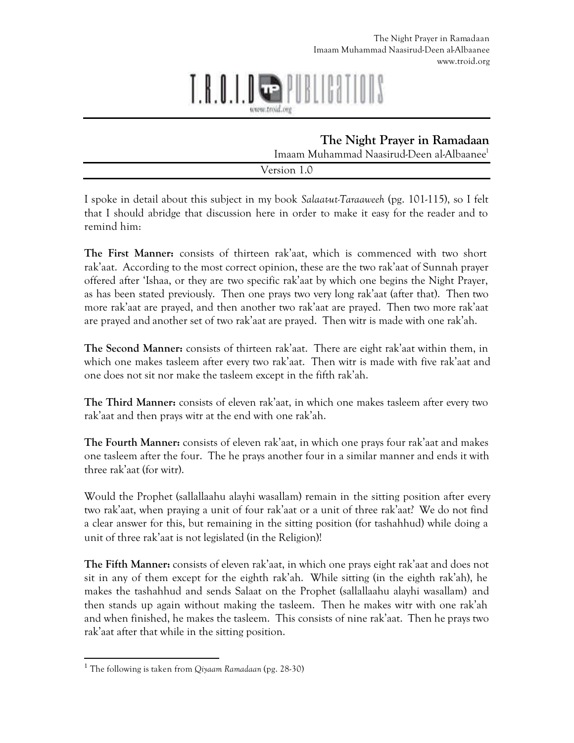## <u>i. I. I. I te pinin</u>

## **The Night Prayer in Ramadaan** Imaam Muhammad Naasirud-Deen al-Albaanee<sup>1</sup>

Version 1.0

I spoke in detail about this subject in my book *Salaat-ut-Taraaweeh* (pg. 101-115), so I felt that I should abridge that discussion here in order to make it easy for the reader and to remind him:

**The First Manner:** consists of thirteen rak'aat, which is commenced with two short rak'aat. According to the most correct opinion, these are the two rak'aat of Sunnah prayer offered after 'Ishaa, or they are two specific rak'aat by which one begins the Night Prayer, as has been stated previously. Then one prays two very long rak'aat (after that). Then two more rak'aat are prayed, and then another two rak'aat are prayed. Then two more rak'aat are prayed and another set of two rak'aat are prayed. Then witr is made with one rak'ah.

**The Second Manner:** consists of thirteen rak'aat. There are eight rak'aat within them, in which one makes tasleem after every two rak'aat. Then witr is made with five rak'aat and one does not sit nor make the tasleem except in the fifth rak'ah.

**The Third Manner:** consists of eleven rak'aat, in which one makes tasleem after every two rak'aat and then prays witr at the end with one rak'ah.

**The Fourth Manner:** consists of eleven rak'aat, in which one prays four rak'aat and makes one tasleem after the four. The he prays another four in a similar manner and ends it with three rak'aat (for witr).

Would the Prophet (sallallaahu alayhi wasallam) remain in the sitting position after every two rak'aat, when praying a unit of four rak'aat or a unit of three rak'aat? We do not find a clear answer for this, but remaining in the sitting position (for tashahhud) while doing a unit of three rak'aat is not legislated (in the Religion)!

**The Fifth Manner:** consists of eleven rak'aat, in which one prays eight rak'aat and does not sit in any of them except for the eighth rak'ah. While sitting (in the eighth rak'ah), he makes the tashahhud and sends Salaat on the Prophet (sallallaahu alayhi wasallam) and then stands up again without making the tasleem. Then he makes witr with one rak'ah and when finished, he makes the tasleem. This consists of nine rak'aat. Then he prays two rak'aat after that while in the sitting position.

 $\overline{a}$ 

<sup>1</sup> The following is taken from *Qiyaam Ramadaan* (pg. 28-30)